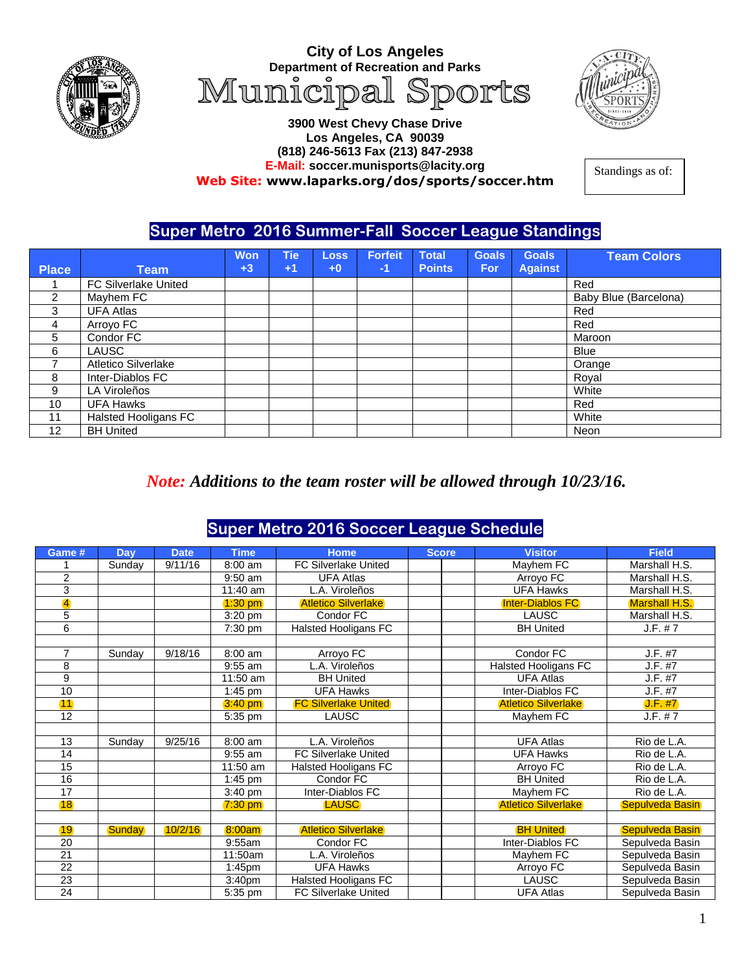

**City of Los Angeles Department of Recreation and Parks**<br>Municipal Sports



#### **3900 West Chevy Chase Drive Los Angeles, CA 90039 (818) 246-5613 Fax (213) 847-2938 E-Mail: soccer.munisports@lacity.org Web Site: [www.laparks.org/dos/sports/soccer.htm](http://www.laparks.org/dos/sports/soccer.htm)**

Standings as of:

#### **Super Metro 2016 Summer-Fall Soccer League Standings**

| <b>Place</b>      | Team                 | <b>Won</b><br>$+3$ | Tie<br>$+1$ | <b>Loss</b><br>$+0$ | <b>Forfeit</b><br>-1 | <b>Total</b><br><b>Points</b> | <b>Goals</b><br><b>For</b> | <b>Goals</b><br><b>Against</b> | <b>Team Colors</b>    |
|-------------------|----------------------|--------------------|-------------|---------------------|----------------------|-------------------------------|----------------------------|--------------------------------|-----------------------|
|                   |                      |                    |             |                     |                      |                               |                            |                                |                       |
|                   | FC Silverlake United |                    |             |                     |                      |                               |                            |                                | Red                   |
| $\overline{2}$    | Mayhem FC            |                    |             |                     |                      |                               |                            |                                | Baby Blue (Barcelona) |
| 3                 | <b>UFA Atlas</b>     |                    |             |                     |                      |                               |                            |                                | Red                   |
| 4                 | Arroyo FC            |                    |             |                     |                      |                               |                            |                                | Red                   |
| 5                 | Condor FC            |                    |             |                     |                      |                               |                            |                                | Maroon                |
| 6                 | LAUSC                |                    |             |                     |                      |                               |                            |                                | <b>Blue</b>           |
|                   | Atletico Silverlake  |                    |             |                     |                      |                               |                            |                                | Orange                |
| 8                 | Inter-Diablos FC     |                    |             |                     |                      |                               |                            |                                | Royal                 |
| 9                 | LA Viroleños         |                    |             |                     |                      |                               |                            |                                | White                 |
| 10                | <b>UFA Hawks</b>     |                    |             |                     |                      |                               |                            |                                | Red                   |
| 11                | Halsted Hooligans FC |                    |             |                     |                      |                               |                            |                                | White                 |
| $12 \overline{ }$ | <b>BH United</b>     |                    |             |                     |                      |                               |                            |                                | Neon                  |

#### *Note: Additions to the team roster will be allowed through 10/23/16.*

### **Super Metro 2016 Soccer League Schedule**

| Game #                  | Day           | <b>Date</b> | <b>Time</b>                  | Home                        | <b>Score</b> | <b>Visitor</b>              | <b>Field</b>           |
|-------------------------|---------------|-------------|------------------------------|-----------------------------|--------------|-----------------------------|------------------------|
|                         | Sunday        | 9/11/16     | 8:00 am                      | <b>FC Silverlake United</b> |              | Mayhem FC                   | Marshall H.S.          |
| $\overline{2}$          |               |             | $9:50$ am                    | <b>UFA Atlas</b>            |              | Arroyo FC                   | Marshall H.S.          |
| 3                       |               |             | 11:40 am                     | L.A. Viroleños              |              | <b>UFA Hawks</b>            | Marshall H.S.          |
| $\overline{\mathbf{4}}$ |               |             | $1:30$ pm                    | <b>Atletico Silverlake</b>  |              | <b>Inter-Diablos FC</b>     | Marshall H.S.          |
| 5                       |               |             | 3:20 pm                      | Condor FC                   |              | <b>LAUSC</b>                | Marshall H.S.          |
| 6                       |               |             | 7:30 pm                      | <b>Halsted Hooligans FC</b> |              | <b>BH United</b>            | J.F. # 7               |
|                         |               |             |                              |                             |              |                             |                        |
| $\overline{7}$          | Sunday        | 9/18/16     | 8:00 am                      | Arroyo FC                   |              | Condor FC                   | J.F. #7                |
| 8                       |               |             | 9:55 am                      | L.A. Viroleños              |              | <b>Halsted Hooligans FC</b> | J.F. #7                |
| 9                       |               |             | $11:50$ am                   | <b>BH United</b>            |              | <b>UFA Atlas</b>            | J.F. #7                |
| 10                      |               |             | $\overline{1:}45 \text{ pm}$ | <b>UFA Hawks</b>            |              | Inter-Diablos FC            | J.F. #7                |
| 11                      |               |             | $3:40$ pm                    | <b>FC Silverlake United</b> |              | <b>Atletico Silverlake</b>  | J.F. #7                |
| 12                      |               |             | 5:35 pm                      | <b>LAUSC</b>                |              | Mayhem FC                   | J.F. # 7               |
|                         |               |             |                              |                             |              |                             |                        |
| 13                      | Sunday        | 9/25/16     | 8:00 am                      | L.A. Viroleños              |              | <b>UFA Atlas</b>            | Rio de L.A.            |
| 14                      |               |             | $9:55$ am                    | <b>FC Silverlake United</b> |              | <b>UFA Hawks</b>            | Rio de L.A.            |
| $\overline{15}$         |               |             | 11:50 am                     | <b>Halsted Hooligans FC</b> |              | Arroyo FC                   | Rio de L.A.            |
| 16                      |               |             | $1:45$ pm                    | Condor FC                   |              | <b>BH United</b>            | Rio de L.A.            |
| 17                      |               |             | 3:40 pm                      | Inter-Diablos FC            |              | Mayhem FC                   | Rio de L.A.            |
| 18                      |               |             | $7:30$ pm                    | <b>LAUSC</b>                |              | <b>Atletico Silverlake</b>  | Sepulveda Basin        |
|                         |               |             |                              |                             |              |                             |                        |
| 19                      | <b>Sunday</b> | 10/2/16     | 8:00am                       | <b>Atletico Silverlake</b>  |              | <b>BH United</b>            | <b>Sepulveda Basin</b> |
| 20                      |               |             | 9:55am                       | Condor FC                   |              | Inter-Diablos FC            | Sepulveda Basin        |
| 21                      |               |             | 11:50am                      | L.A. Viroleños              |              | Mayhem FC                   | Sepulveda Basin        |
| $\overline{22}$         |               |             | $1:45$ pm                    | <b>UFA Hawks</b>            |              | Arroyo FC                   | Sepulveda Basin        |
| 23                      |               |             | 3:40 <sub>pm</sub>           | <b>Halsted Hooligans FC</b> |              | <b>LAUSC</b>                | Sepulveda Basin        |
| 24                      |               |             | 5:35 pm                      | <b>FC Silverlake United</b> |              | <b>UFA Atlas</b>            | Sepulveda Basin        |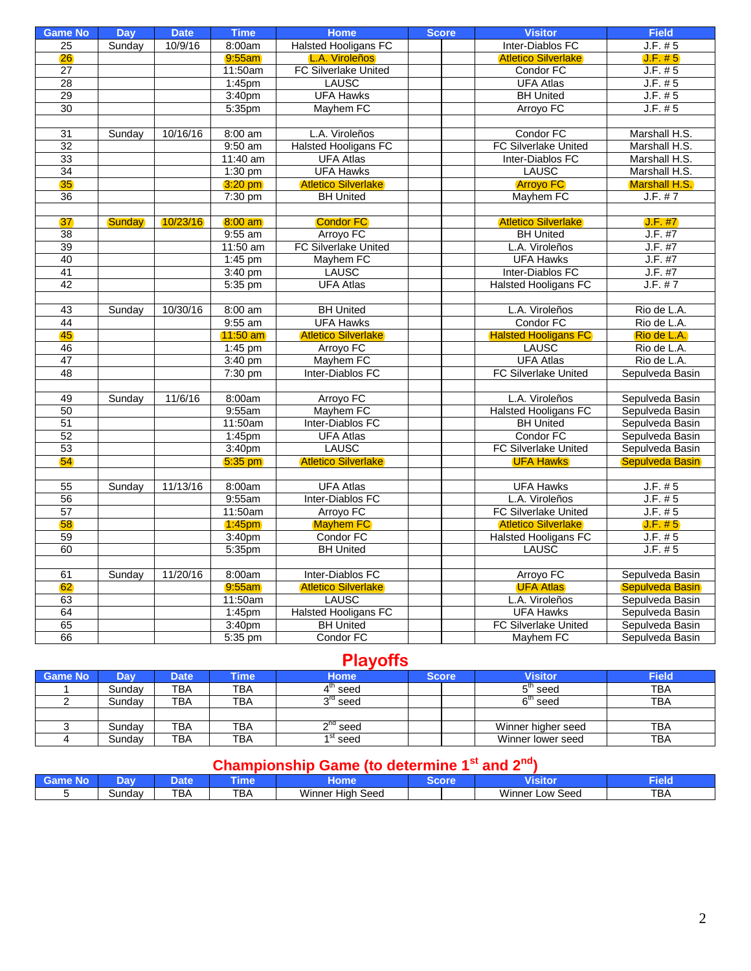| <b>Game No</b>  | <b>Day</b>    | <b>Date</b> | <b>Time</b>         | <b>Home</b>                 | <b>Score</b> | <b>Visitor</b>                | <b>Field</b>                              |
|-----------------|---------------|-------------|---------------------|-----------------------------|--------------|-------------------------------|-------------------------------------------|
| 25              | Sunday        | 10/9/16     | 8:00am              | <b>Halsted Hooligans FC</b> |              | Inter-Diablos FC              | J.F. #5                                   |
| 26              |               |             | $9:55$ am           | L.A. Viroleños              |              | <b>Atletico Silverlake</b>    | J.F. #5                                   |
| $\overline{27}$ |               |             | 11:50am             | FC Silverlake United        |              | Condor FC                     | J.F. #5                                   |
| 28              |               |             | 1:45pm              | <b>LAUSC</b>                |              | <b>UFA Atlas</b>              | J.F. #5                                   |
| $\overline{29}$ |               |             | 3:40pm              | <b>UFA Hawks</b>            |              | <b>BH United</b>              | J.F. #5                                   |
| 30              |               |             | 5:35pm              | Mayhem FC                   |              | Arroyo FC                     | J.F. #5                                   |
|                 |               |             |                     |                             |              |                               |                                           |
| $\overline{31}$ | Sunday        | 10/16/16    | 8:00 am             | L.A. Viroleños              |              | Condor FC                     | Marshall H.S.                             |
| 32              |               |             | $9:50$ am           | <b>Halsted Hooligans FC</b> |              | <b>FC Silverlake United</b>   | Marshall H.S.                             |
| 33              |               |             | $11:40$ am          | <b>UFA Atlas</b>            |              | Inter-Diablos FC              | Marshall H.S.                             |
| 34              |               |             | $1:30$ pm           | <b>UFA Hawks</b>            |              | <b>LAUSC</b>                  | Marshall H.S.                             |
| 35              |               |             | $3:20$ pm           | <b>Atletico Silverlake</b>  |              | <b>Arroyo FC</b>              | <b>Marshall H.S.</b>                      |
| 36              |               |             | 7:30 pm             | <b>BH United</b>            |              | Mayhem FC                     | J.F. # 7                                  |
|                 |               |             |                     |                             |              |                               |                                           |
| 37              | <b>Sunday</b> | 10/23/16    | $8:00$ am           | <b>Condor FC</b>            |              | <b>Atletico Silverlake</b>    | J.F. #7                                   |
| 38              |               |             | $9:55$ am           | Arroyo FC                   |              | <b>BH United</b>              | J.F. #7                                   |
| 39              |               |             | 11:50 am            | FC Silverlake United        |              | L.A. Viroleños                | J.F. #7                                   |
| 40              |               |             | 1:45 pm             | Mayhem FC                   |              | <b>UFA Hawks</b>              | J.F. #7                                   |
| 41              |               |             | $3:40$ pm           | LAUSC                       |              | Inter-Diablos FC              | J.F. #7                                   |
| 42              |               |             | 5:35 pm             | <b>UFA Atlas</b>            |              | <b>Halsted Hooligans FC</b>   | J.F. #7                                   |
|                 |               |             |                     |                             |              |                               |                                           |
| 43              | Sunday        | 10/30/16    | 8:00 am             | <b>BH United</b>            |              | L.A. Viroleños                | Rio de L.A.                               |
| 44              |               |             | $9:55$ am           | <b>UFA Hawks</b>            |              | Condor FC                     | Rio de L.A.                               |
| 45              |               |             | $11:50$ am          | <b>Atletico Silverlake</b>  |              | <b>Halsted Hooligans FC</b>   | Rio de L.A.                               |
| 46              |               |             | $1:45$ pm           | Arroyo FC                   |              | <b>LAUSC</b>                  | Rio de L.A.                               |
| 47              |               |             | $3:40$ pm           | Mayhem FC                   |              | <b>UFA Atlas</b>              | Rio de L.A.                               |
| 48              |               |             | 7:30 pm             | Inter-Diablos FC            |              | FC Silverlake United          | Sepulveda Basin                           |
|                 |               |             |                     |                             |              |                               |                                           |
| 49              | Sunday        | 11/6/16     | 8:00am              | Arroyo FC                   |              | L.A. Viroleños                | Sepulveda Basin                           |
| $\overline{50}$ |               |             | 9:55am              | Mayhem FC                   |              | <b>Halsted Hooligans FC</b>   | Sepulveda Basin                           |
| 51              |               |             | 11:50am             | Inter-Diablos FC            |              | <b>BH United</b>              | Sepulveda Basin                           |
| 52              |               |             | 1:45pm              | <b>UFA Atlas</b>            |              | Condor FC                     | Sepulveda Basin                           |
| 53              |               |             | 3:40pm              | <b>LAUSC</b>                |              | FC Silverlake United          | Sepulveda Basin                           |
| 54              |               |             | $5:35$ pm           | <b>Atletico Silverlake</b>  |              | <b>UFA Hawks</b>              | <b>Sepulveda Basin</b>                    |
|                 |               |             |                     |                             |              |                               |                                           |
| 55              | Sunday        | 11/13/16    | 8:00am              | <b>UFA Atlas</b>            |              | <b>UFA Hawks</b>              | J.F. # 5                                  |
| 56              |               |             | 9:55am              | Inter-Diablos FC            |              | L.A. Viroleños                | J.F. #5                                   |
| 57              |               |             | 11:50am             | Arroyo FC                   |              | FC Silverlake United          | J.F. #5                                   |
| 58              |               |             | 1:45 <sub>pm</sub>  | <b>Mayhem FC</b>            |              | <b>Atletico Silverlake</b>    | J.F. #5                                   |
| 59              |               |             | 3:40pm              | Condor FC                   |              | <b>Halsted Hooligans FC</b>   | J.F. #5                                   |
| 60              |               |             | 5:35pm              | <b>BH United</b>            |              | LAUSC                         | J.F. #5                                   |
|                 |               |             |                     | Inter-Diablos FC            |              |                               |                                           |
| 61<br>62        | Sunday        | 11/20/16    | 8:00am<br>$9:55$ am | <b>Atletico Silverlake</b>  |              | Arroyo FC<br><b>UFA Atlas</b> | Sepulveda Basin<br><b>Sepulveda Basin</b> |
| 63              |               |             | 11:50am             | <b>LAUSC</b>                |              | L.A. Viroleños                | Sepulveda Basin                           |
| 64              |               |             | 1:45pm              | <b>Halsted Hooligans FC</b> |              | <b>UFA Hawks</b>              | Sepulveda Basin                           |
| 65              |               |             |                     | <b>BH United</b>            |              |                               |                                           |
| 66              |               |             | 3:40pm              | Condor FC                   |              | <b>FC Silverlake United</b>   | Sepulveda Basin                           |
|                 |               |             | 5:35 pm             |                             |              | Mayhem FC                     | Sepulveda Basin                           |

# **Playoffs**

| <b>Game No</b> | Dav.   | <b>Date</b> | Time       | <b>Home</b>             | <b>Score</b> | <b>Visitor</b>     | <b>Field</b> |
|----------------|--------|-------------|------------|-------------------------|--------------|--------------------|--------------|
|                | Sundav | <b>TBA</b>  | <b>TBA</b> | ' seed                  |              | $^{-th}$ seed      | <b>TBA</b>   |
|                | Sundav | <b>TBA</b>  | TBA        | $3^{\prime\prime}$ seed |              | 6" seed            | TBA          |
|                |        |             |            |                         |              |                    |              |
|                | Sundav | <b>TBA</b>  | TBA        | n <sup>nd</sup> seed    |              | Winner higher seed | <b>TBA</b>   |
|                | Sunday | <b>TBA</b>  | <b>TBA</b> | <sup>1 St</sup> seed    |              | Winner lower seed  | <b>TBA</b>   |

## **Championship Game (to determine 1st and 2nd)**

| $\mathbb{R}^n$ | ÞП     |                    |            |                                  |                    |            |
|----------------|--------|--------------------|------------|----------------------------------|--------------------|------------|
|                | ounda∨ | <b>TDA</b><br>זם ו | <b>TBA</b> | .<br>.<br>Seed<br>Winner<br>Hiar | Winner<br>Low Seed | <b>TBA</b> |